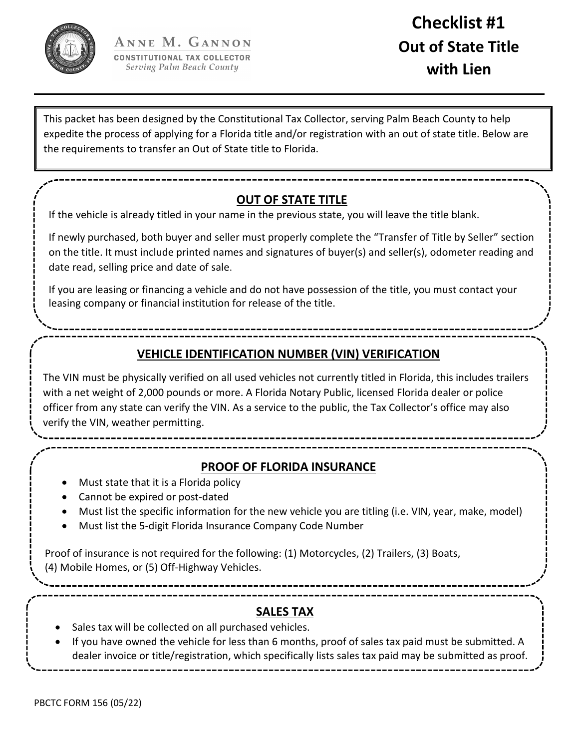

## **Checklist #1 Out of State Title with Lien**

This packet has been designed by the Constitutional Tax Collector, serving Palm Beach County to help expedite the process of applying for a Florida title and/or registration with an out of state title. Below are the requirements to transfer an Out of State title to Florida.

## **OUT OF STATE TITLE**

If the vehicle is already titled in your name in the previous state, you will leave the title blank.

If newly purchased, both buyer and seller must properly complete the "Transfer of Title by Seller" section on the title. It must include printed names and signatures of buyer(s) and seller(s), odometer reading and date read, selling price and date of sale.

If you are leasing or financing a vehicle and do not have possession of the title, you must contact your leasing company or financial institution for release of the title.

## **VEHICLE IDENTIFICATION NUMBER (VIN) VERIFICATION**

The VIN must be physically verified on all used vehicles not currently titled in Florida, this includes trailers with a net weight of 2,000 pounds or more. A Florida Notary Public, licensed Florida dealer or police officer from any state can verify the VIN. As a service to the public, the Tax Collector's office may also verify the VIN, weather permitting.

**PROOF OF FLORIDA INSURANCE**

- Must state that it is a Florida policy
- Cannot be expired or post‐dated
- Must list the specific information for the new vehicle you are titling (i.e. VIN, year, make, model)
- Must list the 5‐digit Florida Insurance Company Code Number

Proof of insurance is not required for the following: (1) Motorcycles, (2) Trailers, (3) Boats, (4) Mobile Homes, or (5) Off‐Highway Vehicles.

**SALES TAX**

- Sales tax will be collected on all purchased vehicles.
- If you have owned the vehicle for less than 6 months, proof of sales tax paid must be submitted. A dealer invoice or title/registration, which specifically lists sales tax paid may be submitted as proof.